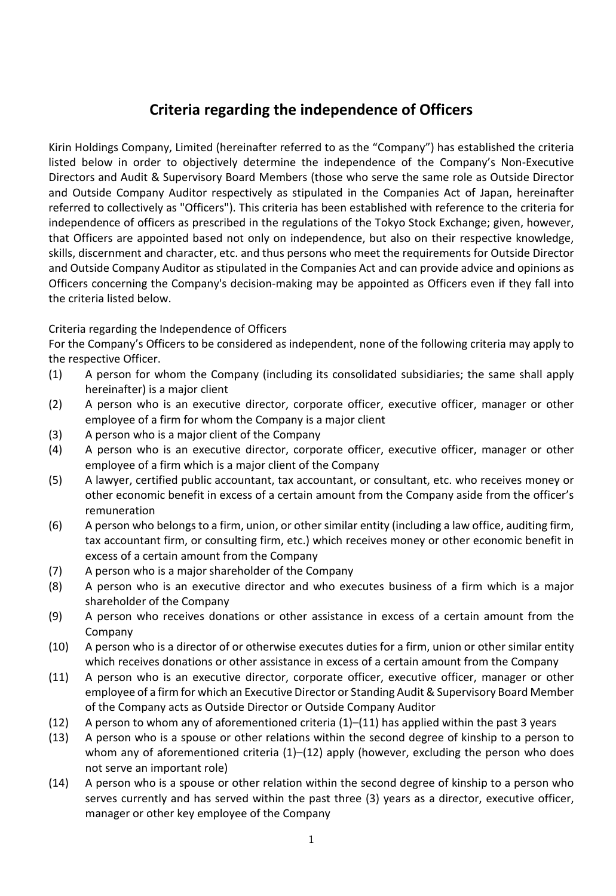## **Criteria regarding the independence of Officers**

Kirin Holdings Company, Limited (hereinafter referred to as the "Company") has established the criteria listed below in order to objectively determine the independence of the Company's Non-Executive Directors and Audit & Supervisory Board Members (those who serve the same role as Outside Director and Outside Company Auditor respectively as stipulated in the Companies Act of Japan, hereinafter referred to collectively as "Officers"). This criteria has been established with reference to the criteria for independence of officers as prescribed in the regulations of the Tokyo Stock Exchange; given, however, that Officers are appointed based not only on independence, but also on their respective knowledge, skills, discernment and character, etc. and thus persons who meet the requirements for Outside Director and Outside Company Auditor as stipulated in the Companies Act and can provide advice and opinions as Officers concerning the Company's decision-making may be appointed as Officers even if they fall into the criteria listed below.

## Criteria regarding the Independence of Officers

For the Company's Officers to be considered as independent, none of the following criteria may apply to the respective Officer.

- (1) A person for whom the Company (including its consolidated subsidiaries; the same shall apply hereinafter) is a major client
- (2) A person who is an executive director, corporate officer, executive officer, manager or other employee of a firm for whom the Company is a major client
- (3) A person who is a major client of the Company
- (4) A person who is an executive director, corporate officer, executive officer, manager or other employee of a firm which is a major client of the Company
- (5) A lawyer, certified public accountant, tax accountant, or consultant, etc. who receives money or other economic benefit in excess of a certain amount from the Company aside from the officer's remuneration
- (6) A person who belongs to a firm, union, or other similar entity (including a law office, auditing firm, tax accountant firm, or consulting firm, etc.) which receives money or other economic benefit in excess of a certain amount from the Company
- (7) A person who is a major shareholder of the Company
- (8) A person who is an executive director and who executes business of a firm which is a major shareholder of the Company
- (9) A person who receives donations or other assistance in excess of a certain amount from the Company
- (10) A person who is a director of or otherwise executes duties for a firm, union or other similar entity which receives donations or other assistance in excess of a certain amount from the Company
- (11) A person who is an executive director, corporate officer, executive officer, manager or other employee of a firm for which an Executive Director or Standing Audit & Supervisory Board Member of the Company acts as Outside Director or Outside Company Auditor
- (12) A person to whom any of aforementioned criteria (1)–(11) has applied within the past 3 years
- (13) A person who is a spouse or other relations within the second degree of kinship to a person to whom any of aforementioned criteria  $(1)$ – $(12)$  apply (however, excluding the person who does not serve an important role)
- (14) A person who is a spouse or other relation within the second degree of kinship to a person who serves currently and has served within the past three (3) years as a director, executive officer, manager or other key employee of the Company